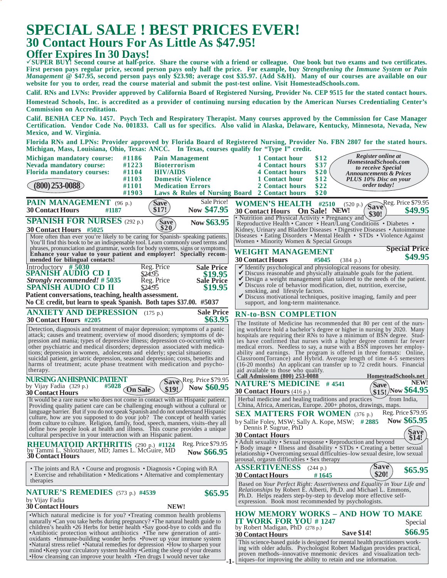## **SPECIAL SALE ! BEST PRICES EVER! 30 Contact Hours For As Little As \$47.95!**

## **Offer Expires In 30 Days!**

**SUPER BUY! Second course at half-price. Share the course with a friend or colleague. One book but two exams and two certificates. First person pays regular price, second person pays only half the price. For example, buy** *Strengthening the Immune System* **or** *Pain Management* **@ \$47.95, second person pays only \$23.98; average cost \$35.97. (Add S&H). Many of our courses are available on our website for you to order, read the course material and submit the post-test online. Visit HomesteadSchools.com.**

**Calif. RNs and LVNs: Provider approved by California Board of Registered Nursing, Provider No. CEP 9515 for the stated contact hours. Homestead Schools, Inc. is accredited as a provider of continuing nursing education by the American Nurses Credentialing Center's Commission on Accreditation.**

**Calif. BENHA CEP No. 1457. Psych Tech and Respiratory Therapist. Many courses approved by the Commission for Case Manager Certification. Vendor Code No. 001833. Call us for specifics. Also valid in Alaska, Delaware, Kentucky, Minnesota, Nevada, New Mexico, and W. Virginia.**

**Florida RNs and LPNs: Provider approved by Florida Board of Registered Nursing, Provider No. FBN 2807 for the stated hours. Michigan, Mass, Louisiana, Ohio, Texas: ANCC. In Texas, courses qualify for "Type I" credit.**

| мистран, мазэ, поизвана, Оню, телаз. Анесе. - не телаз, соитзез диангу тог - турс т - стейн.                                                                       |                                                                                                                                                    |
|--------------------------------------------------------------------------------------------------------------------------------------------------------------------|----------------------------------------------------------------------------------------------------------------------------------------------------|
| #1186<br><b>Pain Management</b><br>Michigan mandatory course:                                                                                                      | Register online at<br>\$12<br>1 Contact hour<br>HomesteadSchools.com                                                                               |
| #1223<br><b>Nevada mandatory course:</b><br><b>Bioterrorism</b>                                                                                                    | \$37<br><b>4 Contact hours</b><br>to receive Special                                                                                               |
| <b>Florida mandatory courses:</b><br>#1104<br><b>HIV/AIDS</b><br>#1103<br><b>Domestic Violence</b>                                                                 | \$20<br><b>4 Contact hours</b><br><b>Announcements &amp; Prices</b><br>\$12<br>1 Contact hour<br><b>PLUS 10% Disc on your</b>                      |
| $(800)$ 253-0088)<br>#1101<br><b>Medication Errors</b>                                                                                                             | \$22<br><i>order today!</i><br>2 Contact hours                                                                                                     |
| #1903<br>Laws & Rules of Nursing Board 2 Contact hours                                                                                                             | \$20                                                                                                                                               |
| Sale Price!<br>PAIN MANAGEMENT (96 p.)<br>Save                                                                                                                     | Save Reg. Price \$79.95<br><b>WOMEN'S HEALTH #2510</b>                                                                                             |
| Now \$47.95<br>\$17!<br><b>30 Contact Hours</b><br>#1187                                                                                                           | (520 p.)<br>\$49.95<br>30 Contact Hours On Sale! NEW!                                                                                              |
|                                                                                                                                                                    | \$30!<br>• Nutrition and Physical Activity • Pregnancy and                                                                                         |
| <b>SPANISH FOR NURSES</b> (292 p.)<br>Now \$63.95<br><b>Save</b><br>\$20.                                                                                          | Reproductive Health • Cancer • Heart/Lung Conditions • Diabetes •                                                                                  |
| 30 Contact Hours #5025                                                                                                                                             | Kidney, Urinary and Bladder Diseases • Digestive Diseases • Autoimmune<br>Diseases • Eating Disorders • Mental Health • STDs • Violence Against    |
| More often than ever you're likely to be caring for Spanish-speaking patients.<br>You'll find this book to be an indispensable tool. Learn commonly used terms and | Women • Minority Women & Special Groups                                                                                                            |
| phrases, pronunciation and grammar, words for body systems, signs or symptoms.                                                                                     | <b>Special Price</b><br>WEIGHT MANAGEMENT                                                                                                          |
| Enhance your value to your patient and employer! Specially recom-                                                                                                  | \$49.95                                                                                                                                            |
| mended for bilingual contacts!<br>Reg. Price<br><b>Sale Price</b>                                                                                                  | <b>30 Contact Hours</b><br>#5045<br>(384 p.)<br>Identify psychological and physiological reasons for obesity.                                      |
| Introductory #5030<br>SPANISH AUDIO CD I<br>\$24.95<br>\$19.95                                                                                                     | $\checkmark$ Discuss reasonable and physically attainable goals for the patient.                                                                   |
| Reg. Price<br>Strongly recommended! #5035<br><b>Sale Price</b>                                                                                                     | $\checkmark$ Design a weight management plan tailored to the needs of the patient.                                                                 |
| \$19.95<br>\$24.95<br>SPANISH AUDIO CD II                                                                                                                          | Discuss role of behavior modification, diet, nutrition, exercise,                                                                                  |
| Patient conversations, teaching, health assessment.                                                                                                                | smoking, and lifestyle factors.<br>✔ Discuss motivational techniques, positive imaging, family and peer                                            |
| No CE credit, but learn to speak Spanish. Both tapes \$37.00. #5037                                                                                                | support, and long-term maintenance.                                                                                                                |
| <b>Sale Price</b><br><b>ANXIETY AND DEPRESSION</b> (175 p.)                                                                                                        | <b>RN-to-BSN COMPLETION</b>                                                                                                                        |
| \$63.95<br>30 Contact Hours #2205                                                                                                                                  | The Institute of Medicine has recommended that 80 per cent of the nurs-                                                                            |
| Detection, diagnosis and treatment of major depression; symptoms of a panic                                                                                        | ing workforce hold a bachelor's degree or higher in nursing by 2020. Many                                                                          |
| attack; causes and treatment; overview of mood disorders; symptoms of de-                                                                                          | hospitals are requiring their RNs to have a minimum of BSN degree. Stud-                                                                           |
| pression and mania; types of depressive illness; depression co-occurring with                                                                                      | ies have confirmed that nurses with a higher degree commit far fewer                                                                               |
| other psychiatric and medical disorders; depression associated with medica-<br>tions; depression in women, adolescents and elderly; special situations:            | medical errors. Needless to say, a nurse with a BSN improves her employ-<br>ability and earnings. The program is offered in three formats: Online, |
| suicidal patient, geriatric depression, seasonal depression; costs, benefits and                                                                                   | Classroom (Torrance) and Hybrid. Average length of time 4-5 semesters                                                                              |
| harms of treatment; acute phase treatment with medication and psycho-                                                                                              | (16-20 months) An applicant can transfer up to 72 credit hours. Financial                                                                          |
| therapy.                                                                                                                                                           | aid available to those who qualify.<br>HomesteadSchools.net<br><b>Call Admissions (800) 253-0088</b>                                               |
| NURSING AN HISPANIC PATIENT<br>Save Reg. Price \$79.95                                                                                                             | NEW!<br><b>NATURE'S MEDICINE #4541</b><br>'Save                                                                                                    |
| by Vijay Fadia (329 p.)<br>#5028<br>Now \$60.95<br><b>On Sale</b><br>\$19!<br><b>30 Contact Hours</b>                                                              | \$15! Now \$64.95<br><b>30 Contact Hours</b> (416 p.)                                                                                              |
| It would be a rare nurse who does not come in contact with an Hispanic patient.                                                                                    | Herbal medicine and healing traditions and practices<br>from India,                                                                                |
| Providing quality patient care can be challenging enough without a cultural or                                                                                     | China, Africa, Americas, Europe. 200+ photos, drawings, maps.                                                                                      |
| language barrier. But if you do not speak Spanish and do not understand Hispanic<br>culture, how are you supposed to do your job? The concept of health varies     | Reg. Price \$79.95<br><b>SEX MATTERS FOR WOMEN (376 p.)</b>                                                                                        |
| from culture to culture. Religion, family, food, speech, manners, visits-they all                                                                                  | Now \$65.95<br>by Sallie Foley, MSW; Sally A. Kope, MSW; #2885                                                                                     |
| define how people look at health and illness. This course provides a unique                                                                                        | Dennis P. Sugrue, PhD                                                                                                                              |
| cultural perspective in your interaction with an Hispanic patient.                                                                                                 | Save<br>\$14!<br><b>30 Contact Hours</b>                                                                                                           |
| Reg. Price \$79.95<br><b>RHEUMATOID ARTHRITIS</b> (290 p.) #1124                                                                                                   | • Adult sexuality • Sexual response • Reproduction and beyond<br>• Body image • Illness and disability • STDs • Creating a better sexual           |
| by Tammi L. Shlotzhauer, MD; James L. McGuire, MD<br>Now \$66.95<br><b>30 Contact Hours</b>                                                                        | relationship • Overcoming sexual difficulties-low sexual desire, low sexual                                                                        |
|                                                                                                                                                                    | arousal, orgasm difficulties • Sex therapy                                                                                                         |
| • The joints and RA • Course and prognosis • Diagnosis • Coping with RA                                                                                            | <b>ASSERTIVENESS</b><br>'Save<br>(244 p.)<br>\$65.95                                                                                               |
| • Exercise and rehabilitation • Medications • Alternative and complementary<br>therapies                                                                           | \$20!<br><b>30 Contact Hours</b><br>#1645                                                                                                          |
|                                                                                                                                                                    | Based on Your Perfect Right: Assertiveness and Equality in Your Life and                                                                           |
| <b>NATURE'S REMEDIES</b> (573 p.) #4539<br>\$65.95                                                                                                                 | <i>Relationships</i> by Robert E. Alberti, Ph.D. and Michael L. Emmons,<br>Ph.D. Helps readers step-by-step to develop more effective self-        |
| by Vijay Fadia                                                                                                                                                     | expression. Book most recommended by psychologists.                                                                                                |
| <b>30 Contact Hours</b><br>NEW!                                                                                                                                    |                                                                                                                                                    |
| • Which natural medicine is for you? • Treating common health problems                                                                                             | <b>HOW MEMORY WORKS - AND HOW TO MAKE</b>                                                                                                          |
| naturally •Can you take herbs during pregnancy? •The natural health guide to<br>children's health •26 Herbs for better health •Say good-bye to colds and flu       | <b>IT WORK FOR YOU #1247</b><br>Special<br>by Robert Madigan, PhD (278 p.)                                                                         |
| •Antibiotic protection without antibiotics •The new generation of anti-                                                                                            | \$66.95<br><b>Save \$14!</b><br><b>30 Contact Hours</b>                                                                                            |
| oxidants •Immune-building wonder herbs •Power up your immune system                                                                                                | This science-based guide is designed for mental health practitioners work-                                                                         |
| •Natural stress relief •Natural remedies for depression •How to sharpen your<br>mind • Keep your circulatory system healthy • Getting the sleep of your dreams     | ing with older adults. Psychologist Robert Madigan provides practical,                                                                             |
| •How cleansing can improve your health •Ten drugs I would never take                                                                                               | proven methods-innovative mnemonic devices and visualization tech-<br>niques–for improving the ability to retain and use information.              |
| -1.                                                                                                                                                                |                                                                                                                                                    |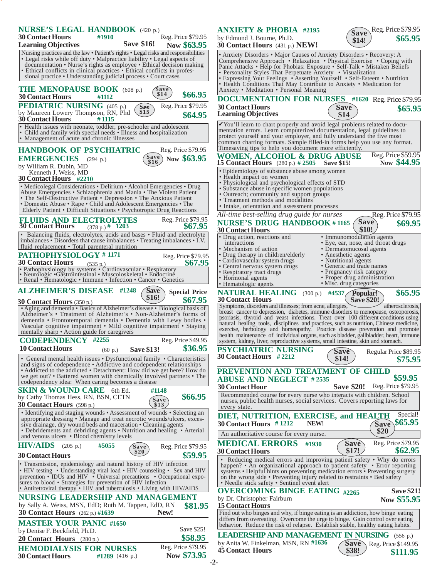| <b>NURSE'S LEGAL HANDBOOK</b> (420 p.)<br><b>30 Contact Hours</b><br>Reg. Price \$79.95<br>#1910<br><b>Save \$16!</b><br><b>Learning Objectives</b><br>Now \$63.95                                                                                                                                                                                                                   | Reg. Price \$79.95<br><b>ANXIETY &amp; PHOBIA #2195</b><br>Save<br>\$65.95<br>by Edmund J. Bourne, Ph.D.<br>\$14!<br><b>30 Contact Hours</b> (431 p.) <b>NEW!</b>                                                                                                                                                                                                                                                                                                                                                          |
|--------------------------------------------------------------------------------------------------------------------------------------------------------------------------------------------------------------------------------------------------------------------------------------------------------------------------------------------------------------------------------------|----------------------------------------------------------------------------------------------------------------------------------------------------------------------------------------------------------------------------------------------------------------------------------------------------------------------------------------------------------------------------------------------------------------------------------------------------------------------------------------------------------------------------|
| Nursing practices and the law • Patient's rights • Legal risks and responsibilities<br>• Legal risks while off duty • Malpractice liability • Legal aspects of<br>documentation • Nurse's rights as employee • Ethical decision making<br>• Ethical conflicts in clinical practices • Ethical conflicts in profes-<br>sional practice • Understanding judicial process • Court cases | • Anxiety Disorders • Major Causes of Anxiety Disorders • Recovery: A<br>Comprehensive Approach • Relaxation • Physical Exercise • Coping with<br>Panic Attacks • Help for Phobias: Exposure • Self-Talk • Mistaken Beliefs<br>• Personality Styles That Perpetuate Anxiety • Visualization<br>• Expressing Your Feelings • Asserting Yourself • Self-Esteem • Nutrition<br>• Health Conditions That May Contribute to Anxiety • Medication for                                                                            |
| THE MENOPAUSE BOOK (608 p.)<br>Save<br>\$14<br>\$66.95<br><b>30 Contact Hours</b><br>#1112                                                                                                                                                                                                                                                                                           | Anxiety • Meditation • Personal Meaning<br><b>DOCUMENTATION FOR NURSES</b> #1620 Reg. Price \$79.95                                                                                                                                                                                                                                                                                                                                                                                                                        |
| Reg. Price \$79.95<br><b>PEDIATRIC NURSING</b> (405 p.)<br>Save<br>\$15<br>by Maureen Lowery Thompson, RN, Phd<br>\$64.95<br><b>30 Contact Hours</b><br>#1115                                                                                                                                                                                                                        | <b>30 Contact Hours</b><br>Save<br>\$65.95<br><b>Learning Objectives</b><br>\$14                                                                                                                                                                                                                                                                                                                                                                                                                                           |
| Health issues with neonate, toddler, pre-schooler and adolescent<br>Child and family with special needs • Illness and hospitalization<br>Management of acute and chronic illnesses                                                                                                                                                                                                   | $\checkmark$ You'll learn to chart properly and avoid legal problems related to docu-<br>mentation errors. Learn computerized documentation, legal guidelines to<br>protect yourself and your employer, and fully understand the five most<br>common charting formats. Sample filled-in forms help you use any format.                                                                                                                                                                                                     |
| <b>HANDBOOK OF PSYCHIATRIC</b><br>Reg. Price \$79.95<br>Save<br>\$16<br>Now \$63.95<br><b>EMERGENCIES</b><br>(294 p.)                                                                                                                                                                                                                                                                | Timesaving tips to help you document more efficiently.<br>Reg. Price \$59.95<br><b>WOMEN, ALCOHOL &amp; DRUG ABUSE</b><br>Now \$44.95<br><b>15 Contact Hours</b> (280 p.) # 2505 Save \$15!                                                                                                                                                                                                                                                                                                                                |
| by William R. Dubin, MD<br>Kenneth J. Weiss, MD<br><b>30 Contact Hours #2210</b>                                                                                                                                                                                                                                                                                                     | • Epidemiology of substance abuse among women<br>• Health impact on women                                                                                                                                                                                                                                                                                                                                                                                                                                                  |
| • Medicolegal Considerations • Delirium • Alcohol Emergencies • Drug<br>Abuse Emergencies • Schizophrenia and Mania • The Violent Patient<br>• The Self-Destructive Patient • Depression • The Anxious Patient<br>• Domestic Abuse • Rape • Child and Adolescent Emergencies • The<br>Elderly Patient • Difficult Situations • Psychotropic Drug Reactions                           | • Physiological and psychological effects of STD<br>• Substance abuse in specific women populations<br>• Outreach; community and support groups<br>• Treatment methods and modalities<br>• Intake, orientation and assessment processes<br>All-time best-selling drug guide for nurses<br>Reg. Price \$79.95                                                                                                                                                                                                               |
| <b>FLUIDS AND ELECTROLYTES</b><br>Reg. Price \$79.95<br>\$67.95<br><b>30 Contact Hours</b><br>$(378 \text{ p.})$ # 1203                                                                                                                                                                                                                                                              | <b>Save</b><br><b>NURSE'S DRUG HANDBOOK #1165</b><br>\$69.95<br>\$10!<br><b>30 Contact Hours</b>                                                                                                                                                                                                                                                                                                                                                                                                                           |
| • Balancing fluids, electrolytes, acids and bases • Fluid and electrolyte<br>imbalances • Disorders that cause imbalances • Treating imbalances • I.V.                                                                                                                                                                                                                               | • Drug action, reactions and<br>• Immunomodulation agents<br>interactions<br>• Eye, ear, nose, and throat drugs                                                                                                                                                                                                                                                                                                                                                                                                            |
| fluid replacement • Total parenteral nutrition<br><b>PATHOPHYSIOLOGY #1171</b><br>Reg. Price \$79.95<br><b>30 Contact Hours</b><br>\$67.95<br>(535 p.)<br>• Pathophysiology by systems • Cardiovascular • Respiratory • Neurologic • Gastrointestinal • Muscoloskeletal • Endocrine<br>• Renal • Hematologic • Immune • Infection • Cancer • Genetics                                | • Mechanism of action<br>• Dermatomucosal agents<br>• Drug therapy in children/elderly<br>• Anesthetic agents<br>• Cardiovascular system drugs<br>• Nutritional agents<br>• Generic and trade names<br>• Central nervous system drugs<br>• Pregnancy risk category<br>• Respiratory tract drugs<br>• Proper drug administration<br>• Hormonal agents<br>• Misc. drug categories<br>• Hematologic agents                                                                                                                    |
| <b>ALZHEIMER'S DISEASE #1248</b><br><b>Save</b><br><b>Special Price</b><br>\$16!<br>\$67.95                                                                                                                                                                                                                                                                                          | NATURAL HEALING (300 p.) #4537 Popular!<br>\$65.95<br><b>30 Contact Hours</b><br><b>Save \$20!</b>                                                                                                                                                                                                                                                                                                                                                                                                                         |
| <b>30 Contact Hours</b> $(350 p.)$<br>• Aging and dementia • Basics of Alzheimer's disease • Biological basis of<br>Alzheimer's • Treatment of Alzheimer's • Non-Alzheimer's forms of<br>dementia • Frontotemporal dementia • Dementia with Lewy bodies •<br>Vascular cognitive impairment • Mild cognitive impairment • Staying<br>mentally sharp • Action guide for caregivers     | Symptoms, disorders and illnesses; from acne, allergies,<br>atherosclerosis,<br>breast cancer to depression, diabetes, immune disorders to menopause, osteoporosis,<br>psoriasis, thyroid and yeast infections. Treat over 100 different conditions using<br>natural healing tools, disciplines and practices, such as nutrition, Chinese medicine,<br>exercise, herbology and homeopathy. Practice disease prevention and promote<br>health maintenance of individual organs, such as bladder, gallbladder, heart, immune |
| <b>CODEPENDENCY #2255</b><br>Reg. Price \$49.95<br>\$36.95<br><b>10 Contact Hours</b><br>(60 p.) Save \$13!<br>• General mental health issues • Dysfunctional family • Characteristics                                                                                                                                                                                               | system, kidney, liver, reproductive systems, small intestine, skin and stomach.<br>PSYCHIATRIC NURSING<br>Regular Price \$89.95<br>Save<br>30 Contact Hours #2212<br>\$14!                                                                                                                                                                                                                                                                                                                                                 |
| and signs of codependence • Addictive and codependent relationships<br>• Addicted to the addicted • Detachment: How did we get here? How do<br>we get out? • Battered women with chemically involved partners • The<br>codependency idea: When caring becomes a disease                                                                                                              | \$75.95<br>PREVENTION AND TREATMENT OF CHILD<br>\$59.95<br><b>ABUSE AND NEGLECT #2535</b><br>Reg. Price \$79.95<br><b>30 Contact Hour</b><br><b>Save \$20!</b>                                                                                                                                                                                                                                                                                                                                                             |
| <b>SKIN &amp; WOUND CARE</b> 6th Ed.<br>#1148<br>\$66.95<br>by Cathy Thomas Hess, RN, BSN, CETN<br>Save<br>30 Contact Hours (598 p.)<br>\$13                                                                                                                                                                                                                                         | Recommended course for every nurse who interacts with children. School<br>nurses, public health nurses, social services. Covers reporting laws for<br>every state.                                                                                                                                                                                                                                                                                                                                                         |
| • Identifying and staging wounds • Assessment of wounds • Selecting an<br>appropriate dressing • Manage and treat necrotic wounds/ulcers, exces-<br>sive drainage, dry wound beds and maceration • Cleaning agents<br>• Debridements and debriding agents • Nutrition and healing • Arterial<br>and venous ulcers • Blood chemistry levels                                           | Special!<br>DIET, NUTRITION, EXERCISE, and HEALTH<br>\$65.95<br>30 Contact Hours #1212<br>NEW!<br><b>Save</b><br>\$20<br>An authoritative course for every nurse.                                                                                                                                                                                                                                                                                                                                                          |
| <b>HIV/AIDS</b><br>#5055<br>(205 p.)<br>Reg. Price \$79.95<br>Save                                                                                                                                                                                                                                                                                                                   | <b>MEDICAL ERRORS</b><br>Save <sup>®</sup><br>Reg. Price \$79.95<br>#1930<br>\$62.95<br>\$17!                                                                                                                                                                                                                                                                                                                                                                                                                              |
| \$20<br>\$59.95<br><b>30 Contact Hours</b>                                                                                                                                                                                                                                                                                                                                           | <b>30 Contact Hours</b><br>• Reducing medical errors and improving patient safety • Why do errors                                                                                                                                                                                                                                                                                                                                                                                                                          |
| • Transmission, epidemiology and natural history of HIV infection<br>• HIV testing • Understanding viral load • HIV counseling • Sex and HIV<br>prevention • IDUs and HIV • Universal precautions • Occupational expo-<br>sures to blood • Strategies for prevention of HIV infection<br>• Antiretroviral therapy • HIV and tuberculosis • Living with HIV/AIDS                      | happen? • An organizational approach to patient safety • Error reporting<br>systems • Helpful hints on preventing medication errors • Preventing surgery<br>on the wrong side • Preventing injury related to restraints • Bed safety<br>• Needle stick safety • Sentinel event alert                                                                                                                                                                                                                                       |
| <b>NURSING LEADERSHIP AND MANAGEMENT</b><br>by Sally A. Weiss, MSN, EdD; Ruth M. Tappen, EdD, RN<br>\$81.95                                                                                                                                                                                                                                                                          | <b>OVERCOMING BINGE EATING #2265</b><br><b>Save \$21!</b><br>by Dr. Christopher Fairburn<br>Now \$55.95<br><b>15 Contact Hours</b>                                                                                                                                                                                                                                                                                                                                                                                         |
| New!<br><b>30 Contact Hours</b> (262 p.) #1639<br><b>MASTER YOUR PANIC #1650</b>                                                                                                                                                                                                                                                                                                     | Find out who binges and why, if binge eating is an addiction, how binge eating<br>differs from overeating. Overcome the urge to binge. Gain control over eating<br>behavior. Reduce the risk of relapse. Establish stable, healthy eating habits.                                                                                                                                                                                                                                                                          |
| Save \$25!<br>by Denise F. Beckfield, Ph.D.<br>\$58.95<br><b>20 Contact Hours</b> $(280 p.)$                                                                                                                                                                                                                                                                                         | <b>LEADERSHIP AND MANAGEMENT IN NURSING</b> (556 p.)                                                                                                                                                                                                                                                                                                                                                                                                                                                                       |
| Reg. Price \$79.95<br><b>HEMODIALYSIS FOR NURSES</b><br>Now \$73.95<br>#1289 $(416 p.)$<br><b>30 Contact Hours</b>                                                                                                                                                                                                                                                                   | by Anita W. Finkelman, MSN, RN #1636<br>Save<br>Reg. Price \$149.95<br><b>45 Contact Hours</b><br>\$38!<br>\$111.95<br>-2-                                                                                                                                                                                                                                                                                                                                                                                                 |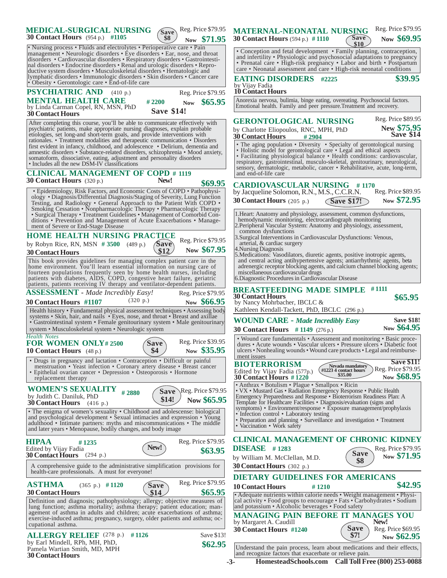| Reg. Price \$79.95<br><b>MEDICAL-SURGICAL NURSING</b><br>Save<br><b>30 Contact Hours</b> (954 p.) #1105<br>\$8<br>Now \$71.95                                                                                                                                                                                                                                                                                                                                                                                                                                                                                          | Reg. Price \$79.95<br><b>MATERNAL-NEONATAL NURSING</b><br><b>Save</b><br>Now \$69.95<br><b>30 Contact Hours</b> (594 p.) #1110<br>\$10                                                                                                                                                                                                                                                                                                                                                                                                                          |
|------------------------------------------------------------------------------------------------------------------------------------------------------------------------------------------------------------------------------------------------------------------------------------------------------------------------------------------------------------------------------------------------------------------------------------------------------------------------------------------------------------------------------------------------------------------------------------------------------------------------|-----------------------------------------------------------------------------------------------------------------------------------------------------------------------------------------------------------------------------------------------------------------------------------------------------------------------------------------------------------------------------------------------------------------------------------------------------------------------------------------------------------------------------------------------------------------|
| • Nursing process • Fluids and electrolytes • Perioperative care • Pain<br>management • Neurologic disorders • Eye disorders • Ear, nose, and throat<br>disorders • Cardiovascular disorders • Respiratory disorders • Gastrointesti-<br>nal disorders • Endocrine disorders • Renal and urologic disorders • Repro-<br>ductive system disorders • Musculoskeletal disorders • Hematologic and<br>lymphatic disorders • Immunologic disorders • Skin disorders • Cancer care                                                                                                                                           | • Conception and fetal development • Family planning, contraception,<br>and infertility • Physiologic and psychosocial adaptations to pregnancy<br>• Prenatal care • High-risk pregnancy • Labor and birth • Postpartum<br>care • Neonatal assessment and care • High-risk neonatal conditions<br>\$39.95                                                                                                                                                                                                                                                       |
| • Obesity • Gerontologic care • End-of-life care<br><b>PSYCHIATRIC AND</b> (410 p.)<br>Reg. Price \$79.95                                                                                                                                                                                                                                                                                                                                                                                                                                                                                                              | <b>EATING DISORDERS</b> #2225<br>by Vijay Fadia<br><b>10 Contact Hours</b>                                                                                                                                                                                                                                                                                                                                                                                                                                                                                      |
| <b>MENTAL HEALTH CARE</b><br>#2200<br>Now \$65.95<br>by Linda Carman Copel, RN, MSN, PhD<br><b>Save \$14!</b><br><b>30 Contact Hours</b>                                                                                                                                                                                                                                                                                                                                                                                                                                                                               | Anorexia nervosa, bulimia, binge eating, overeating. Psychosocial factors.<br>Emotional health. Family and peer pressure. Treatment and recovery.                                                                                                                                                                                                                                                                                                                                                                                                               |
| After completing this course, you'll be able to communicate effectively with<br>psychiatric patients, make appropriate nursing diagnoses, explain probable<br>etiologies, set long-and short-term goals, and provide interventions with<br>rationales. • Treatment modalities and therapeutic communication • Disorders<br>first evident in infancy, childhood, and adolescence • Delirium, dementia and<br>amnestic disorders • Substance-related disorders, schizophrenia • Mood anxiety,<br>somatoform, dissociative, eating, adjustment and personality disorders<br>• Includes all the new DSM-IV classifications | Reg. Price \$89.95<br><b>GERONTOLOGICAL NURSING</b><br>New \$75.95<br>by Charlotte Eliopoulos, RNC, MPH, PhD<br>Save \$14<br><b>30 Contact Hours</b><br>#2904<br>• The aging population • Diversity • Specialty of gerontological nursing<br>• Holistic model for gerontological care • Legal and ethical aspects<br>• Facilitating physiological balance • Health conditions: cardiovascular,<br>respiratory, gastrointestinal, musculo-skeletal, genitourinary, neurological,<br>sensory, dermatologic, metabolic, cancer • Rehabilitative, acute, long-term, |
| <b>CLINICAL MANAGEMENT OF COPD # 1119</b><br>New!<br><b>30 Contact Hours</b> $(320 p.)$                                                                                                                                                                                                                                                                                                                                                                                                                                                                                                                                | and end-of-life care                                                                                                                                                                                                                                                                                                                                                                                                                                                                                                                                            |
| \$69.95<br>• Epidemiology, Risk Factors, and Economic Costs of COPD • Pathophysi-<br>ology • Diagnosis/Differential Diagnosis/Staging of Severity, Lung Function<br>Testing, and Radiology • General Approach to the Patient With COPD •<br>Smoking Cessation • Nonpharmacologic Therapy • Pharmacologic Therapy                                                                                                                                                                                                                                                                                                       | <b>CARDIOVASCULAR NURSING</b><br># 1170<br>Reg. Price \$89.95<br>by Jacqueline Solomon, R.N., M.S., C.C.R.N.<br>Now \$72.95<br><b>30 Contact Hours</b> (205 p.)<br>$\binom{5}{2}$ Save \$17!                                                                                                                                                                                                                                                                                                                                                                    |
| • Surgical Therapy • Treatment Guidelines • Management of Comorbid Con-<br>ditions • Prevention and Management of Acute Exacerbations • Manage-<br>ment of Severe or End-Stage Disease                                                                                                                                                                                                                                                                                                                                                                                                                                 | 1. Heart: Anatomy and physiology, assessment, common dysfunctions,<br>hemodynamic monitoring, electrocardiograph monitoring<br>2. Peripheral Vascular System: Anatomy and physiology, assessment,<br>common dysfunctions                                                                                                                                                                                                                                                                                                                                        |
| <b>HOME HEALTH NURSING PRACTICE</b><br>Reg. Price \$79.95<br><i>(Save)</i><br>by Robyn Rice, RN, MSN $#3500$ (489 p.)<br>Now \$67.95<br>\$12<br><b>30 Contact Hours</b>                                                                                                                                                                                                                                                                                                                                                                                                                                                | 3. Surgical Interventions in Cardiovascular Dysfunctions: Venous,<br>arterial, & cardiac surgery<br>4. Nursing Diagnosis                                                                                                                                                                                                                                                                                                                                                                                                                                        |
| This book provides guidelines for managing complex patient care in the<br>home environment. You'll learn essential information on nursing care of<br>fourteen populations frequently seen by home health nurses, including<br>patients with diabetes, AIDS, COPD, congestive heart failure, geriatric<br>patients, patients receiving IV therapy and ventilator-dependent patients.                                                                                                                                                                                                                                    | 5. Medications: Vasodilators, diuretic agents, positive inotropic agents,<br>and central acting antihypertensive agents; antiarrhythmic agents, beta<br>adrenergic receptor blocking agents, and calcium channel blocking agents;<br>miscellaneous cardiovascular drugs<br>6. Diagnostic Procedures in Cardiovascular Disease                                                                                                                                                                                                                                   |
| <b>ASSESSMENT</b> - Made Incredibly Easy!<br>Reg. Price \$79.95<br>(320 p.)<br>Now \$66.95<br><b>30 Contact Hours #1107</b>                                                                                                                                                                                                                                                                                                                                                                                                                                                                                            | <b>BREASTFEEDING MADE SIMPLE</b><br>#1111<br><b>30 Contact Hours</b><br>\$65.95<br>by Nancy Mohrbacher, IBCLC &                                                                                                                                                                                                                                                                                                                                                                                                                                                 |
| Health history • Fundamental physical assessment techniques • Assessing body<br>systems • Skin, hair, and nails • Eyes, nose, and throat • Breast and axillae                                                                                                                                                                                                                                                                                                                                                                                                                                                          | Kathleen Kendall-Tackett, PhD, IBCLC (296 p.)<br><b>Save \$18!</b><br><b>WOUND CARE - Made Incredibly Easy</b>                                                                                                                                                                                                                                                                                                                                                                                                                                                  |
| • Gastrointestinal system • Female genitourinary system • Male genitourinary<br>system • Musculoskeletal system • Neurologic system                                                                                                                                                                                                                                                                                                                                                                                                                                                                                    | Now \$64.95<br><b>30 Contact Hours</b> #1149 $(276 p.)$                                                                                                                                                                                                                                                                                                                                                                                                                                                                                                         |
| <b>Health Notes</b><br>Reg. Price \$39.95<br><b>FOR WOMEN ONLY#2500</b><br><b>Save</b>                                                                                                                                                                                                                                                                                                                                                                                                                                                                                                                                 | • Wound care fundamentals • Assessment and monitoring • Basic proce-<br>dures • Acute wounds • Vascular ulcers • Pressure ulcers • Diabetic foot                                                                                                                                                                                                                                                                                                                                                                                                                |
| Now \$35.95<br>\$4                                                                                                                                                                                                                                                                                                                                                                                                                                                                                                                                                                                                     | ulcers • Nonhealing wounds • Wound care products • Legal and reimburse-                                                                                                                                                                                                                                                                                                                                                                                                                                                                                         |
| • Drugs in pregnancy and lactation • Contraception • Difficult or painful<br>menstruation • Yeast infection • Coronary artery disease • Breast cancer<br>• Epithelial ovarian cancer • Depression • Osteoporosis • Hormone<br>replacement therapy                                                                                                                                                                                                                                                                                                                                                                      | ment issues<br><b>Save \$11!</b><br><b>BIOTERRORISM</b><br>Nevada mandatory<br>Reg. Price \$79.95<br>$\left(\frac{\#1223}{4}\right)$ contact hours<br>Edited by Vijay Fadia (577p.)<br>\$35.00<br>Now \$68.95<br><b>30 Contact Hours #1220</b>                                                                                                                                                                                                                                                                                                                  |
| <b>WOMEN'S SEXUALITY</b><br>Reg. Price \$79.95<br><b>Save</b><br>#2880<br>by Judith C. Daniluk, PhD<br>\$14!<br>Now \$65.95<br><b>30 Contact Hours</b> (416 p.)                                                                                                                                                                                                                                                                                                                                                                                                                                                        | • Anthrax • Botulism • Plague • Smallpox • Ricin<br>• VX • Mustard Gas • Radiation Emergency Response • Public Health<br>Emergency Preparedness and Response • Bioterrorism Readiness Plan: A<br>Template for Healthcare Facilities • Diagnosis/evaluation (signs and                                                                                                                                                                                                                                                                                           |
| • The enigma of women's sexuality • Childhood and adolescense: biological<br>and psychological development • Sexual intimacies and expression • Young<br>adulthood • Intimate partners: myths and miscommunications • The middle<br>and later years • Menopause, bodily changes, and body image                                                                                                                                                                                                                                                                                                                        | symptoms) • Environment/response • Exposure management/prophylaxis<br>• Infection control • Laboratory testing<br>• Preparation and planning • Surveillance and investigation • Treatment<br>• Vaccination • Work safety                                                                                                                                                                                                                                                                                                                                        |
| 10 Contact Hours (48 p.)<br>Reg. Price \$79.95<br><b>HIPAA</b><br>#1235<br>New!<br>Edited by Vijay Fadia<br>\$63.95<br><b>30 Contact Hours</b> $(294 p.)$                                                                                                                                                                                                                                                                                                                                                                                                                                                              | <b>CLINICAL MANAGEMENT OF CHRONIC KIDNEY</b><br>$DISEASE$ # 1283<br>Reg. Price \$79.95<br><b>Save</b><br>Now \$71.95                                                                                                                                                                                                                                                                                                                                                                                                                                            |
| A comprehensive guide to the administrative simplification provisions for<br>health-care professionals. A must for everyone!                                                                                                                                                                                                                                                                                                                                                                                                                                                                                           | by William M. McClellan, M.D.<br>\$8<br><b>30 Contact Hours</b> $(302 p.)$                                                                                                                                                                                                                                                                                                                                                                                                                                                                                      |
| Reg. Price \$79.95<br><b>ASTHMA</b><br>$(365 \text{ p.})$ #1120<br><b>Save</b>                                                                                                                                                                                                                                                                                                                                                                                                                                                                                                                                         | <b>DIETARY GUIDELINES FOR AMERICANS</b><br>\$42.95<br><b>10 Contact Hours</b><br>#1210                                                                                                                                                                                                                                                                                                                                                                                                                                                                          |
| \$65.95<br><b>30 Contact Hours</b><br>\$14<br>Definition and diagnosis; pathophysiology; allergy; objective measures of<br>lung function; asthma mortality; asthma therapy; patient education; man-                                                                                                                                                                                                                                                                                                                                                                                                                    | • Adequate nutrients within calorie needs • Weight management • Physi-<br>cal activity • Food groups to encourage • Fats • Carbohydrates • Sodium<br>and potassium • Alcoholic beverages • Food safety                                                                                                                                                                                                                                                                                                                                                          |
| agement of asthma in adults and children; acute exacerbations of asthma;<br>exercise-induced asthma; pregnancy, surgery, older patients and asthma; oc-<br>cupational asthma.                                                                                                                                                                                                                                                                                                                                                                                                                                          | <b>MANAGING PAIN BEFORE IT MANAGES YOU</b><br>New!<br>by Margaret A. Caudill                                                                                                                                                                                                                                                                                                                                                                                                                                                                                    |
| Save \$13!<br>ALLERGY RELIEF $(278 \text{ p.})$ #1126<br>by Earl Mindell, RPh, MH, PhD,<br>\$62.95<br>Pamela Wartian Smith, MD, MPH                                                                                                                                                                                                                                                                                                                                                                                                                                                                                    | <b>Save</b><br>Reg. Price \$69.95<br><b>30 Contact Hours #1240</b><br>\$7!<br>Now \$62.95<br>Understand the pain process, learn about medications and their effects,                                                                                                                                                                                                                                                                                                                                                                                            |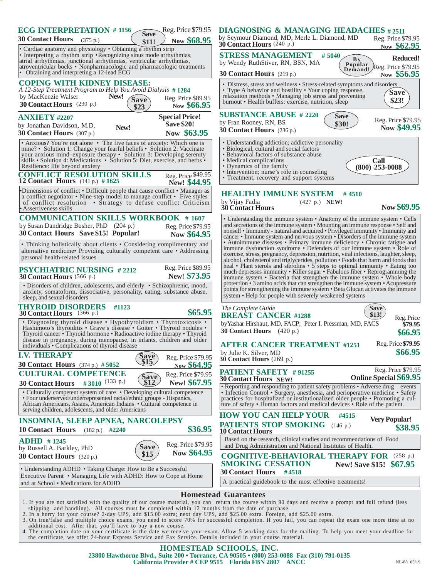| <b>ECG INTERPRETATION #1156</b><br><b>Save</b><br><b>30 Contact Hours</b><br>(375 p.)<br>\$11!<br>• Cardiac anatomy and physiology • Obtaining a rhythm strip                                                                                                                                                                                     | Reg. Price \$79.95<br>Now \$68.95                         | <b>DIAGNOSING &amp; MANAGING HEADACHES #2511</b><br>by Seymour Diamond, MD, Merle L. Diamond, MD<br>Reg. Price \$79.95<br><b>30 Contact Hours</b> $(240 p.)$<br>Now \$62.95                                                                                                                                                                                                                                                                                                |  |
|---------------------------------------------------------------------------------------------------------------------------------------------------------------------------------------------------------------------------------------------------------------------------------------------------------------------------------------------------|-----------------------------------------------------------|----------------------------------------------------------------------------------------------------------------------------------------------------------------------------------------------------------------------------------------------------------------------------------------------------------------------------------------------------------------------------------------------------------------------------------------------------------------------------|--|
| • Interpreting a rhythm strip • Recognizing sinus mode arrhythmias,<br>atrial arrhythmias, junctional arrhythmias, ventricular arrhythmias,<br>atroventricular bocks • Nonpharmacologic and pharmacologic treatments<br>• Obtaining and interpreting a 12-lead ECG                                                                                |                                                           | <b>STRESS MANAGEMENT</b><br>#5040<br>Reduced!<br>By<br>by Wendy RuthStiver, RN, BSN, MA<br>Popular<br>Demand!<br>Reg. Price \$79.95<br><b>30 Contact Hours</b> $(219 p.)$<br>Now \$56.95                                                                                                                                                                                                                                                                                   |  |
| <b>COPING WITH KIDNEY DISEASE:</b><br>A 12-Step Treatment Program to Help You Avoid Dialysis #1284<br>New!<br>by MacKenzie Walser<br><b>Save</b><br>30 Contact Hours (230 p.)<br>\$23                                                                                                                                                             | Reg. Price \$89.95<br>Now \$66.95                         | • Distress, stress and wellness • Stress-related symptoms and disorders<br>• Type A behavior and hostility • Your coping response,<br><b>Save</b><br>relaxation methods • Managing job stress and preventing<br>\$23!<br>burnout • Health buffers: exercise, nutrition, sleep                                                                                                                                                                                              |  |
| <b>ANXIETY #2207</b><br>by Jonathan Davidson, M.D.<br>New!<br><b>30 Contact Hours</b> (307 p.)                                                                                                                                                                                                                                                    | <b>Special Price!</b><br><b>Save \$20!</b><br>Now \$63.95 | <b>SUBSTANCE ABUSE # 2220</b><br><b>Save</b><br>Reg. Price \$79.95<br>by Fran Rooney, RN, BS<br>\$30!<br>Now \$49.95<br>30 Contact Hours (236 p.)                                                                                                                                                                                                                                                                                                                          |  |
| • Anxious? You're not alone • The five faces of anxiety: Which one is<br>mine? • Solution 1: Change your fearful beliefs • Solution 2: Vaccinate<br>your anxious mind-exposure therapy · Solution 3: Developing serenity<br>skills • Solution 4: Medications • Solution 5: Diet, exercise, and herbs •<br>Resilience: life beyond anxiety         |                                                           | • Understanding addiction; addictive personality<br>• Biological, cultural and social factors<br>• Behavioral factors of substance abuse<br>• Medical complications<br>Call<br>• Dynamics of the family<br>$(800)$ 253-0088<br>• Intervention; nurse's role in counseling                                                                                                                                                                                                  |  |
| <b>CONFLICT RESOLUTION SKILLS</b><br><b>12 Contact Hours</b> (141 p.) $\#$ 1625                                                                                                                                                                                                                                                                   | Reg. Price \$49.95<br>New! \$44.95                        | • Treatment, recovery and support systems                                                                                                                                                                                                                                                                                                                                                                                                                                  |  |
| •Dimensions of conflict • Difficult people that cause conflict • Manager as<br>a conflict negotiator • Nine-step model to manage conflict • Five styles<br>of conflict resolution • Strategy to defuse conflict Criticism<br>• Assertiveness skills                                                                                               |                                                           | <b>HEALTHY IMMUNE SYSTEM</b><br>#4510<br>by Vijay Fadia<br>$(427 p.)$ NEW!<br>Now \$69.95<br><b>30 Contact Hours</b>                                                                                                                                                                                                                                                                                                                                                       |  |
| <b>COMMUNICATION SKILLS WORKBOOK #1607</b><br>by Susan Dandridge Bosher, PhD (204 p.)<br>30 Contact Hours Save \$15! Popular!                                                                                                                                                                                                                     | Reg. Price \$79.95<br>Now \$64.95                         | • Understanding the immune system • Anatomy of the immune system • Cells<br>and secretions of the immune system • Mounting an immune response • Self and<br>nonself • Immunity - natural and acquired • Privileged immunity • Immunity and<br>cancer • Immune system and nervous system • Disorders of the immune system                                                                                                                                                   |  |
| • Thinking holistically about clients • Considering complimentary and<br>alternative medicine• Providing culturally competent care • Addressing<br>personal health-related issues                                                                                                                                                                 |                                                           | • Autoimmune diseases • Primary immune deficiency • Chronic fatigue and<br>immune dysfunction syndrome • Defenders of our immune system • Role of<br>exercise, stress, pregnancy, depression, nutrition, viral infections, laughter, sleep,<br>alcohol, cholesterol and triglycerides, pollution . Foods that harm and foods that<br>heal • Plant sterols and sterolins • 5 steps to optimal immunity • Eating too                                                         |  |
| <b>PSYCHIATRIC NURSING #2212</b><br>30 Contact Hours (566 p.)                                                                                                                                                                                                                                                                                     | Reg. Price \$89.95<br>New! \$73.95                        | much depresses immunity • Killer sugar • Fabulous fiber • Reprogramming the<br>immune system • Bacteria that strengthen the immune system • Whole body                                                                                                                                                                                                                                                                                                                     |  |
| • Disorders of children, adolescents, and elderly • Schizophrenic, mood,<br>anxiety, somatoform, dissociative, personality, eating, substance abuse,<br>sleep, and sexual disorders                                                                                                                                                               |                                                           | protection • 3 amino acids that can strengthen the immune system • Acupressure<br>points for strengthening the immune system • Beta Glucan activates the immune<br>system • Help for people with severely weakened systems                                                                                                                                                                                                                                                 |  |
| <b>THYROID DISORDERS</b><br>#1123<br>30 Contact Hours (366 p.)                                                                                                                                                                                                                                                                                    | \$65.95                                                   | The Complete Guide<br>Save<br>\$13!<br><b>BREAST CANCER #1288</b><br>Reg. Price                                                                                                                                                                                                                                                                                                                                                                                            |  |
| • Diagnosing thyroid disease • Hypothyroidism • Thyrotoxicosis •<br>Hashimoto's thyroiditis • Grave's disease • Goiter • Thyroid nodules •<br>Thyroid cancer • Thyroid hormone • Radioactive iodine therapy • Thyroid<br>disease in pregnancy, during menopause, in infants, children and older<br>individuals • Complications of thyroid disease |                                                           | by Yashar Hirshaut, MD, FACP; Peter I. Pressman, MD, FACS<br>\$79.95<br>30 Contact Hours $(420 p.)$<br>\$66.95<br>Reg. Price \$79.95<br><b>AFTER CANCER TREATMENT #1251</b>                                                                                                                                                                                                                                                                                                |  |
| <b>I.V. THERAPY</b><br>Save<br>\$15<br><b>30 Contact Hours</b> (374 p.) # 5052                                                                                                                                                                                                                                                                    | Reg. Price \$79.95<br>Now \$64.95                         | \$66.95<br>by Julie K. Silver, MD<br>30 Contact Hours (269 p.)                                                                                                                                                                                                                                                                                                                                                                                                             |  |
| <b>CULTURAL COMPETENCE</b><br>Save<br>\$12<br>#3010 $(133 p.)$                                                                                                                                                                                                                                                                                    | Reg. Price \$79.95<br>New! \$67.95                        | Reg. Price \$79.95<br><b>PATIENT SAFETY #91255</b><br>Online Special \$69.95<br>30 Contact Hours NEW!                                                                                                                                                                                                                                                                                                                                                                      |  |
| <b>30 Contact Hours</b><br>• Culturally competent system of care • Developing cultural competence<br>• Four underserved/underrepresented racial/ethnic groups - Hispanics,<br>African Americans, Asians, American Indians • Cultural competence in<br>serving children, adolescents, and older Americans                                          |                                                           | • Reporting and responding to patient safety problems • Adverse drug events<br>• Infection Control • Surgery, anesthesia, and perioperative medicine • Safety<br>practices for hospitalized or institutionalized older people • Promoting a cul-<br>ture of safety • Human factors and medical devices • Role of the patient.                                                                                                                                              |  |
| <b>INSOMNIA, SLEEP APNEA, NARCOLEPSY</b>                                                                                                                                                                                                                                                                                                          |                                                           | <b>HOW YOU CAN HELP YOUR</b><br>#4515<br><b>Very Popular!</b>                                                                                                                                                                                                                                                                                                                                                                                                              |  |
| <b>10 Contact Hours</b> (182 p.) #2240                                                                                                                                                                                                                                                                                                            | \$36.95                                                   | <b>PATIENTS STOP SMOKING</b> (146 p.)<br>\$38.95<br><b>10 Contact Hours</b>                                                                                                                                                                                                                                                                                                                                                                                                |  |
| $ADHD$ #1245<br><b>Save</b><br>by Russell A. Barkley, PhD                                                                                                                                                                                                                                                                                         | Reg. Price \$79.95                                        | Based on the research, clinical studies and recommendations of Food<br>and Drug Administration and National Institutes of Health.                                                                                                                                                                                                                                                                                                                                          |  |
| \$15<br><b>30 Contact Hours</b> (320 p.)                                                                                                                                                                                                                                                                                                          | Now \$64.95                                               | <b>COGNITIVE-BEHAVIORAL THERAPY FOR (258 p.)</b><br><b>SMOKING CESSATION</b><br>New! Save \$15! \$67.95                                                                                                                                                                                                                                                                                                                                                                    |  |
| • Understanding ADHD • Taking Charge: How to Be a Successful<br>Executive Parent . Managing Life with ADHD: How to Cope at Home<br>and at School • Medications for ADHD                                                                                                                                                                           |                                                           | <b>30 Contact Hours</b><br>#4518<br>A practical guidebook to the most effective treatments!                                                                                                                                                                                                                                                                                                                                                                                |  |
|                                                                                                                                                                                                                                                                                                                                                   |                                                           | <b>Homestead Guarantees</b>                                                                                                                                                                                                                                                                                                                                                                                                                                                |  |
| shipping and handling). All courses must be completed within 12 months from the date of purchase.<br>2. In a hurry for your course? 2-day UPS, add \$15.00 extra; next day UPS, add \$25.00 extra. Foreign, add \$25.00 extra.<br>additional cost. After that, you'll have to buy a new course.                                                   |                                                           | 1. If you are not satisfied with the quality of our course material, you can return the course within 90 days and receive a prompt and full refund (less<br>3. On true/false and multiple choice exams, you need to score 70% for successful completion. If you fail, you can repeat the exam one more time at no<br>4. The completion date on your certificate is the date we receive your exam. Allow 5 working days for the mailing. To help you meet your deadline for |  |
| the certificate, we offer 24-hour Express Service and Fax Service. Details included in your course material.                                                                                                                                                                                                                                      |                                                           | HOMESTEAD SCHOOLS, INC.                                                                                                                                                                                                                                                                                                                                                                                                                                                    |  |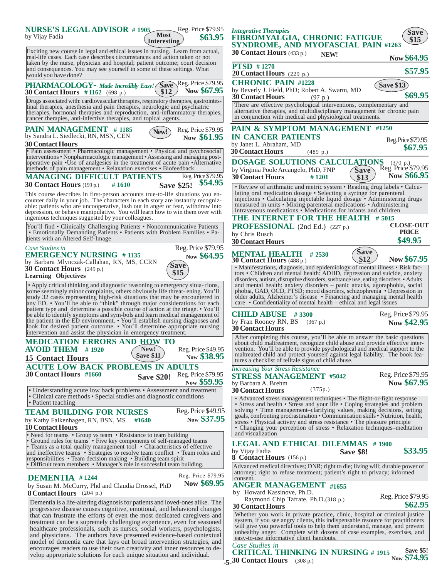

**<sup>-5-</sup> 30 Contact Hours** (308 p.)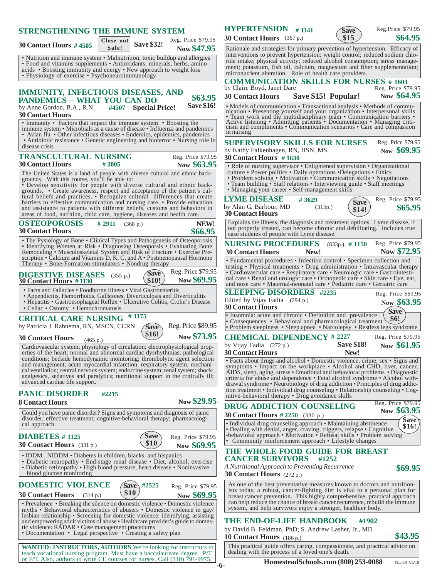| <b>STRENGTHENING THE IMMUNE SYSTEM</b><br>Reg. Price \$79.95<br>Close out                                                                                                                                                                                                                                                                                                                                                                                              | <b>HYPERTENSION</b> $#$ 1141<br>Reg.Price \$79.95<br>Save<br>\$64.95<br>\$15<br>30 Contact Hours (367 p.)                                                                                                                                                                                                                                                                                                                           |
|------------------------------------------------------------------------------------------------------------------------------------------------------------------------------------------------------------------------------------------------------------------------------------------------------------------------------------------------------------------------------------------------------------------------------------------------------------------------|-------------------------------------------------------------------------------------------------------------------------------------------------------------------------------------------------------------------------------------------------------------------------------------------------------------------------------------------------------------------------------------------------------------------------------------|
| <b>Save \$32!</b><br><b>30 Contact Hours #4505</b><br>Sale!<br>Now \$47.95<br>• Nutrition and immune system • Malnutrition, toxic buildup and allergies<br>• Food and vitamins supplements • Antioxidants, minerals, herbs, amino<br>acids • Boosting immunity and energy • New approach to weight loss<br>• Physiology of exercise • Psychoneuroimmunology                                                                                                            | Rationale and strategies for primary prevention of hypertension. Efficacy of<br>interventions to prevent hypertension: weight control; reduced sodium chlo-<br>ride intake; physical activity; reduced alcohol consumption; stress manage-<br>ment; potassium, fish oil, calcium, magnesium and fiber supplementation;<br>micronutrient alteration. Role of health care providers.<br><b>COMMUNICATION SKILLS FOR NURSES # 1603</b> |
| <b>IMMUNITY, INFECTIOUS DISEASES, AND</b><br>\$63.95<br><b>PANDEMICS - WHAT YOU CAN DO</b><br><b>Save \$16!</b><br>#4507 Special Price!<br>by Anne Gordon, B.A., R.N.                                                                                                                                                                                                                                                                                                  | by Claire Boyd, Janet Dare<br>Reg. Price \$79.95<br>Now \$64.95<br>Save \$15! Popular!<br><b>30 Contact Hours</b><br>• Models of communication • Transactional analysis • Methods of commu-                                                                                                                                                                                                                                         |
| <b>30 Contact Hours</b><br>• Immunity • Factors that impact the immune system • Boosting the<br>immune system • Microbials as a cause of disease • Influenza and pandemics<br>• Avian flu • Other infectious diseases • Endemics, epidemics, pandemics                                                                                                                                                                                                                 | nication • Presenting yourself and your organization • Interpersonal skills<br>• Team work and the multidisciplinary team • Communication barriers • Active listening • Admitting patients • Documentation • Managing criticism and compliments • Communication scenarios • Care and compassion<br>in nursing                                                                                                                       |
| • Antibiotic resistance • Genetic engineering and bioterror • Nursing role in<br>disease crisis<br><b>TRANSCULTURAL NURSING</b><br>Reg. Price \$79.95<br><b>30 Contact Hours</b><br>#3005<br>Now \$63.95                                                                                                                                                                                                                                                               | <b>SUPERVISORY SKILLS FOR NURSES</b><br>Reg. Price \$79.95<br>Now \$69.95<br>by Kathy Falkenhagen, RN, BSN, MS<br><b>30 Contact Hours</b> #1630<br>• Role of nursing supervisor • Enlightened supervision • Organizational                                                                                                                                                                                                          |
| The United States is a land of people with diverse cultural and ethnic back-<br>grounds. With this course, you'll be able to:<br>• Develop sensitivity for people with diverse cultural and ethnic back-<br>grounds. • Create awareness, respect and acceptance of the patient's cul-<br>tural beliefs and practices. • Recognize cultural differences that create                                                                                                     | culture • Power politics • Daily operations • Delegations • Ethics<br>• Problem solving • Motivation • Communication skills • Negotiations<br>• Team building • Staff relations • Interviewing guide • Staff meetings<br>• Managing your career • Self-management skills<br><b>LYME DISEASE</b><br>Reg. Price \$79.95                                                                                                               |
| barriers to effective communication and nursing care. • Provide education<br>and assistance to patients with different beliefs, customs and behaviors in<br>areas of food, nutrition, child care, hygiene, diseases and health care.                                                                                                                                                                                                                                   | #3629<br><b>Save</b><br>by Alan G. Barbour, MD<br>(315p.)<br>\$65.95<br>\$14!<br><b>30 Contact Hours</b>                                                                                                                                                                                                                                                                                                                            |
| <b>OSTEOPOROSIS</b><br>NEW!<br># $2911$ (368 p.)<br><b>30 Contact Hours</b><br>\$66.95                                                                                                                                                                                                                                                                                                                                                                                 | Explains the illness, the diagnosis and treatment options. Lyme disease, if<br>not properly treated, can become chronic and debilitating. Includes true<br>case studeies of people with Lyme disease.                                                                                                                                                                                                                               |
| • The Pysiology of Bone • Clinical Types and Pathogenesis of Osteoporosis<br>• Identifying Women at Risk • Diagnosing Osteoporsis • Evaluating Bone<br>Remodeling • Musculoskeletal System and Risk of Fracture • Exercise Pre-<br>scription • Calcium and Vitamins D, K, C, and $A \cdot$ Postmenopausal Hormone                                                                                                                                                      | <b>NURSING PROCEDURES</b><br>(833p.) # 1150 Reg. Price \$79.95<br>Now \$72.95<br><b>30 Contact Hours</b><br>New!                                                                                                                                                                                                                                                                                                                    |
| Therapy • Bone-Formation stimulators • Nondrug therapy<br>Reg. Price \$79.95<br>Save`<br><b>DIGESTIVE DISEASES</b> (355 p.)<br>Now \$69.95<br>\$10!<br><b>30 Contact Hours #1130</b>                                                                                                                                                                                                                                                                                   | • Fundamental procedures • Infection control • Specimen collection and<br>testing • Physical treatments • Drug administration • Intravascular therapy<br>· Cardiovascular care · Respiratory care · Neurologic care · Gastrointesti-<br>nal care . Renal and urologic care . Orthopedic care . Skin care . Eye, ear,<br>and nose care • Maternal-neonatal care • Pediatric care • Geriatric care                                    |
| • Facts and Fallacies • Foodborne Illness • Viral Gastroenteritis<br>• Appendicitis, Hemorrhoids, Gallstones, Diverticulosis and Diverticulitis<br>• Hepatitis • Gastroesophageal Reflux • Ulcerative Colitis, Crohn's Disease<br>• Celiac • Ostomy • Hemochromatosis                                                                                                                                                                                                  | <b>SLEEPING DISORDERS</b> #2235<br>Reg. Price \$69.95<br>Edited by Vijay Fadia (294 p.)<br>Now \$63.95<br><b>30 Contact Hours</b><br><b>Save</b>                                                                                                                                                                                                                                                                                    |
| <b>CRITICAL CARE NURSING #1175</b><br>Reg. Price \$89.95<br>by Patricia J. Rahnema, RN, MSCN, CCRN<br><b>Save</b>                                                                                                                                                                                                                                                                                                                                                      | • Insomnia: acute and chronic • Definition and prevalence<br><b>\$6!</b><br>• Consequences • Behavioral and pharmacological treatment<br>• Problem sleepiness • Sleep apnea • Narcolepsy • Restless legs syndrome                                                                                                                                                                                                                   |
| \$16!<br>Now \$73.95<br><b>30 Contact Hours</b><br>(465 p.)<br>Cardiovascular system; physiology of circulation; electrophysiological prop-<br>erties of the heart; normal and abnormal cardiac dysrhythmias; pathological<br>conditions; bedside hemodynamic monitoring; thrombolytic agent selection<br>and management; acute myocardial infarction; respiratory system; mechani-<br>cal ventilation; central nervous system; endocrine system; renal system; shock; | <b>CHEMICAL DEPENDENCY # 2227</b><br>Reg. Price \$79.95<br><b>Save \$18!</b><br>Now \$61.95<br>by Vijay Fadia (272 p.)<br>New!<br><b>30 Contact Hours</b><br>• Facts about drugs and alcohol • Domestic violence, crime, sex • Signs and<br>symptoms • Impact on the workplace • Alcohol and CHD, liver, cancer,<br>AIDS, sleep, aging, stress • Emotional and behavioral problems • Diagnostic                                     |
| analgesics, sedatives and paralytics; nutritional support in the critically ill;<br>advanced cardiac life support.<br><b>PANIC DISORDER</b><br>#2215                                                                                                                                                                                                                                                                                                                   | criteria for abuse and dependence • Fetal alcohol syndrome • Alcohol with-<br>drawal syndrome . Neurobiology of drug addiction . Principles of drug addic-<br>tion treatment • Individual drug counseling • Relationship counseling • Cog-<br>nitive-behavioral therapy • Drug avoidance skills                                                                                                                                     |
| Now \$29.95<br><b>8 Contact Hours</b><br>Could you have panic disorder? Signs and symptoms and diagnosis of panic                                                                                                                                                                                                                                                                                                                                                      | Reg. Price \$79.95<br><b>DRUG ADDICTION COUNSELING</b><br>Now \$63.95                                                                                                                                                                                                                                                                                                                                                               |
| disorder; effective treatment; cognitive-behavioral therapy; pharmacologi-<br>cal approach.<br>Save<br><b>DIABETES</b> # 1125<br>Reg. Price \$79.95                                                                                                                                                                                                                                                                                                                    | <b>30 Contact Hours</b> $\#2250$ (330 p.)<br>Save<br>• Individual drug counseling approach • Maintaining abstinence<br>\$16!<br>• Dealing with denial, anger, craving, triggers, relapse • Cognitive<br>-behavioral approach • Motivation • Refusal skills • Problem solving                                                                                                                                                        |
| \$10<br><b>30 Contact Hours</b> $(331 p.)$<br>Now \$69.95                                                                                                                                                                                                                                                                                                                                                                                                              | • Community reinforcement approach • Lifestyle changes<br>THE WHOLE-FOOD GUIDE FOR BREAST                                                                                                                                                                                                                                                                                                                                           |
| • IDDM, NIDDM • Diabetes in children, blacks, and hispanics<br>• Diabetic neuropathy • End-stage renal disease • Diet, alcohol, exercise<br>· Diabetic retinopathy · High blood pressure, heart disease · Noninvasive<br>blood glucose monitoring                                                                                                                                                                                                                      | <b>CANCER SURVIVORS</b><br>#1252<br>A Nutritional Approach to Preventing Recurrence<br>\$69.95<br>30 Contact Hours $(272 p.)$                                                                                                                                                                                                                                                                                                       |
| <b>DOMESTIC VIOLENCE</b><br>Save $\#2525$<br>Reg. Price \$79.95<br>\$10<br>Now \$69.95<br><b>30 Contact Hours</b><br>(314 p.)<br>• Prevalence • Breaking the silence on domestic violence • Domestic violence<br>myths • Behavioral characteristics of abusers • Domestic violence in gay/                                                                                                                                                                             | As one of the best preventative measures known to doctors and nutrition-<br>ists today, a robust, cancer-fighting diet is vital to a personal plan for<br>breast cancer prevention. This highly comprehensive, practical approach<br>can help reduce the chance of breast cancer recurrence, rebuild the immune<br>system, and help survivors enjoy a stronger, healthier body.                                                     |
| lesbian relationship • Screening for domestic violence: identifying, assisting<br>and empowering adult victims of abuse • Healthcare provider's guide to domes-<br>tic violence: RADAR • Case management procedures<br>• Documentation • Legal perspective • Creating a safety plan                                                                                                                                                                                    | THE END-OF-LIFE HANDBOOK<br>#1902<br>by David B. Feldman, PhD; S. Andrew Lasher, Jr., MD<br>\$43.95<br>10 Contact Hours (186 p.)                                                                                                                                                                                                                                                                                                    |
| <b>WANTED: INSTRUCTORS, AUTHORS</b> We're looking for instructors to<br>teach vocational nursing program. Must have a baccalaureate degree. P/T<br>or F/T. Also, authors to write CE courses for nurses. Call (310) 791-9975.                                                                                                                                                                                                                                          | This practical guide offers caring, compassionate, and practical advice on<br>dealing with the process of a loved one's death.<br>HomesteadSchools.com (800) 253-0088<br>NL-88 05/19<br>$-6-$                                                                                                                                                                                                                                       |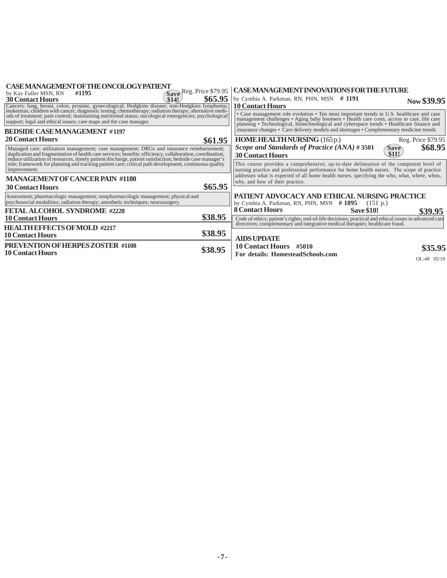| <b>CASE MANAGEMENT OF THE ONCOLOGY PATTENT</b><br>#1195<br>by Kay Fuller MSN, RN                                                                                                                                                                                                                     | Save Reg. Price \$79.95 | CASEMANAGEMENT INNOVATIONS FOR THE FUTURE                                                                                                                                                                                                                                          |                                 |
|------------------------------------------------------------------------------------------------------------------------------------------------------------------------------------------------------------------------------------------------------------------------------------------------------|-------------------------|------------------------------------------------------------------------------------------------------------------------------------------------------------------------------------------------------------------------------------------------------------------------------------|---------------------------------|
| \$14!<br><b>30 Contact Hours</b>                                                                                                                                                                                                                                                                     | \$65.95                 | by Cynthia A. Parkman, RN, PHN, MSN #1191<br><b>10 Contact Hours</b>                                                                                                                                                                                                               | Now \$39.95                     |
| Cancers: lung, breast, colon, prostate, gynecological; Hodgkins disease; non-Hodgkins lymphoma; leukemias; children with cancer; diagnostic testing; chemotherapy; radiation therapy; alternative methods of treatment; pain c<br>support; legal and ethical issues; care maps and the case manager. |                         | • Case management role evolution • Ten most important trends in U.S. healthcare and case<br>management challenges • Aging baby boomers • Health care costs, access to care, life care<br>planning • Technological, biotechnological and cyberspace trends • Healthcare finance and |                                 |
| <b>BEDSIDE CASE MANAGEMENT #1197</b>                                                                                                                                                                                                                                                                 |                         | insurance changes • Care delivery models and shortages • Complementary medicine trends                                                                                                                                                                                             |                                 |
| <b>20 Contact Hours</b>                                                                                                                                                                                                                                                                              | \$61.95                 | <b>HOME HEALTHNURSING</b> (165 p.)                                                                                                                                                                                                                                                 | Reg. Price \$79.95              |
| Managed care; utilization management; case management; DRGs and insurance reimbursement;<br>duplication and fragmentation of health care services; benefits: efficiency, collaboration, coordination,                                                                                                |                         | Scope and Standards of Practice (ANA) #3501<br><b>30 Contact Hours</b>                                                                                                                                                                                                             | \$68.95<br><b>Save</b><br>\$11! |
| reduce utilization of resources, timely patient discharge, patient satisfaction; bedside case manager's role; framework for planning and tracking patient care; critical path development, continuous quality<br>improvement.                                                                        |                         | This course provides a comprehensive, up-to-date delineation of the competent level of<br>nursing practice and professional performance for home health nurses. The scope of practice                                                                                              |                                 |
| <b>MANAGEMENT OF CANCER PAIN #1180</b>                                                                                                                                                                                                                                                               |                         | addresses what is expected of all home health nurses, specifying the who, what, where, when,<br>why, and how of their practice.                                                                                                                                                    |                                 |
| <b>30 Contact Hours</b>                                                                                                                                                                                                                                                                              | \$65.95                 |                                                                                                                                                                                                                                                                                    |                                 |
| Assessment; pharmacologic management; nonpharmacologic management; physical and<br>psychosocial modalities; radiation therapy; anesthetic techniques; neurosurgery.                                                                                                                                  |                         | PATIENT ADVOCACY AND ETHICAL NURSING PRACTICE<br>by Cynthia A. Parkman, RN, PHN, MSN $#1895$ (151 p.)                                                                                                                                                                              |                                 |
| <b>FETAL ALCOHOL SYNDROME #2228</b>                                                                                                                                                                                                                                                                  |                         | <b>8 Contact Hours</b><br><b>Save \$10!</b>                                                                                                                                                                                                                                        | \$39.95                         |
| <b>10 Contact Hours</b>                                                                                                                                                                                                                                                                              | \$38.95                 | Code of ethics; patient's rights; end-of-life decisions; practical and ethical issues in advanced care                                                                                                                                                                             |                                 |
| <b>HEALTH EFFECTS OF MOLD #2217</b>                                                                                                                                                                                                                                                                  |                         | directives; complementary and integrative medical therapies; healthcare fraud.                                                                                                                                                                                                     |                                 |
| <b>10 Contact Hours</b>                                                                                                                                                                                                                                                                              | \$38.95                 | <b>AIDS UPDATE</b>                                                                                                                                                                                                                                                                 |                                 |
| <b>PREVENTION OF HERPES ZOSTER #1108</b>                                                                                                                                                                                                                                                             | \$38.95                 | 10 Contact Hours #5010                                                                                                                                                                                                                                                             | \$35.95                         |
| <b>10 Contact Hours</b>                                                                                                                                                                                                                                                                              |                         | For details: HomesteadSchools.com                                                                                                                                                                                                                                                  | $OL-48$ $05/19$                 |
|                                                                                                                                                                                                                                                                                                      |                         |                                                                                                                                                                                                                                                                                    |                                 |